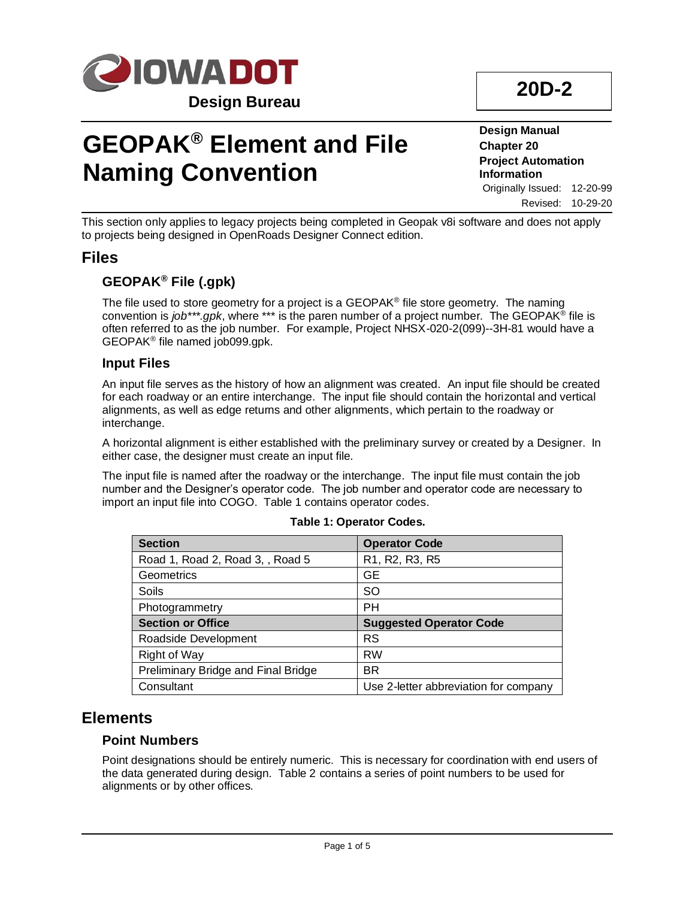

## **GEOPAK® Element and File Naming Convention**

**Design Manual Chapter 20 Project Automation Information** Originally Issued: 12-20-99 Revised: 10-29-20

This section only applies to legacy projects being completed in Geopak v8i software and does not apply to projects being designed in OpenRoads Designer Connect edition.

## **Files**

## **GEOPAK® File (.gpk)**

The file used to store geometry for a project is a GEOPAK® file store geometry. The naming convention is *job\*\*\*.gpk*, where \*\*\* is the paren number of a project number. The GEOPAK® file is often referred to as the job number. For example, Project NHSX-020-2(099)--3H-81 would have a GEOPAK® file named job099.gpk.

### **Input Files**

An input file serves as the history of how an alignment was created. An input file should be created for each roadway or an entire interchange. The input file should contain the horizontal and vertical alignments, as well as edge returns and other alignments, which pertain to the roadway or interchange.

A horizontal alignment is either established with the preliminary survey or created by a Designer. In either case, the designer must create an input file.

The input file is named after the roadway or the interchange. The input file must contain the job number and the Designer's operator code. The job number and operator code are necessary to import an input file into COGO. Table 1 contains operator codes.

| <b>Section</b>                      | <b>Operator Code</b>                                              |
|-------------------------------------|-------------------------------------------------------------------|
| Road 1, Road 2, Road 3, , Road 5    | R <sub>1</sub> , R <sub>2</sub> , R <sub>3</sub> , R <sub>5</sub> |
| Geometrics                          | GЕ                                                                |
| Soils                               | <b>SO</b>                                                         |
| Photogrammetry                      | PH                                                                |
| <b>Section or Office</b>            | <b>Suggested Operator Code</b>                                    |
| Roadside Development                | <b>RS</b>                                                         |
| <b>Right of Way</b>                 | <b>RW</b>                                                         |
| Preliminary Bridge and Final Bridge | <b>BR</b>                                                         |
| Consultant                          | Use 2-letter abbreviation for company                             |

#### **Table 1: Operator Codes.**

## **Elements**

### **Point Numbers**

Point designations should be entirely numeric. This is necessary for coordination with end users of the data generated during design. Table 2 contains a series of point numbers to be used for alignments or by other offices.

# **20D-2**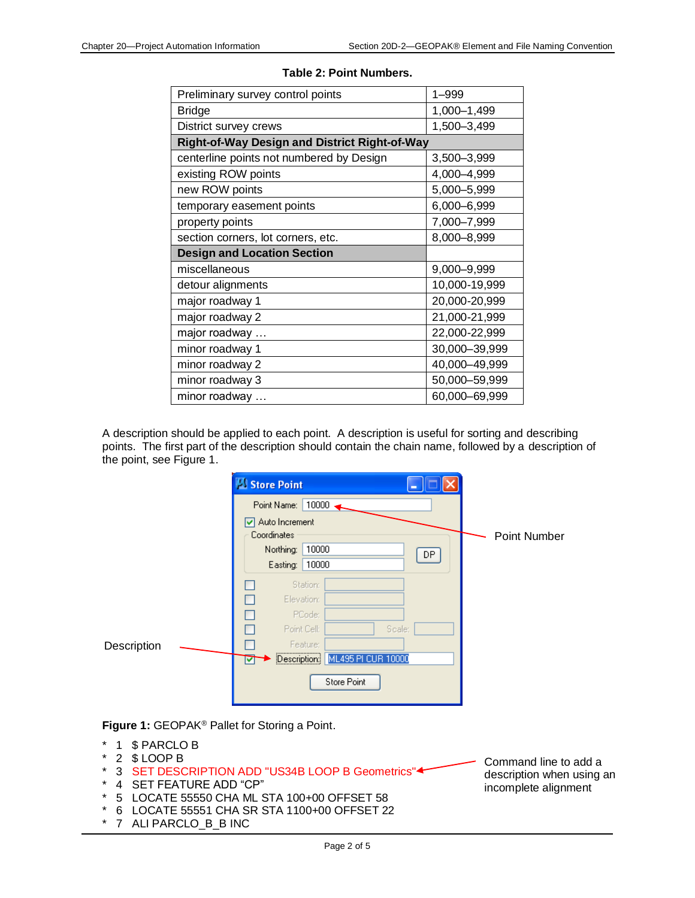| Preliminary survey control points                    | 1-999         |
|------------------------------------------------------|---------------|
| <b>Bridge</b>                                        | 1,000-1,499   |
| District survey crews                                | 1,500-3,499   |
| <b>Right-of-Way Design and District Right-of-Way</b> |               |
| centerline points not numbered by Design             | 3,500-3,999   |
| existing ROW points                                  | 4,000-4,999   |
| new ROW points                                       | 5,000-5,999   |
| temporary easement points                            | 6,000-6,999   |
| property points                                      | 7,000-7,999   |
| section corners, lot corners, etc.                   | 8,000-8,999   |
| <b>Design and Location Section</b>                   |               |
| miscellaneous                                        | 9,000-9,999   |
| detour alignments                                    | 10,000-19,999 |
| major roadway 1                                      | 20,000-20,999 |
| major roadway 2                                      | 21,000-21,999 |
| major roadway                                        | 22,000-22,999 |
| minor roadway 1                                      | 30,000-39,999 |
| minor roadway 2                                      | 40,000-49,999 |
| minor roadway 3                                      | 50,000-59,999 |
| minor roadway                                        | 60,000-69,999 |

#### **Table 2: Point Numbers.**

A description should be applied to each point. A description is useful for sorting and describing points. The first part of the description should contain the chain name, followed by a description of the point, see Figure 1.

|             | Store Point                                             |              |
|-------------|---------------------------------------------------------|--------------|
|             | 10000<br>Point Name:                                    |              |
|             | Auto Increment<br>Coordinates                           | Point Number |
|             | Northing:<br>10000<br>DP.<br>Easting:<br>10000          |              |
|             | Station:<br>Elevation:<br>П                             |              |
|             | PCode:<br>٠<br>Scale:<br>Point Cell:<br>г               |              |
| Description | Feature:<br><br>ML495 PI CUR 10000<br>Description:<br>罓 |              |
|             | Store Point                                             |              |

**Figure 1:** GEOPAK® Pallet for Storing a Point.

- 1 \$ PARCLO B
- $*$  2  $$$  LOOP B
- 3 SET DESCRIPTION ADD "US34B LOOP B Geometrics"
- \* 4 SET FEATURE ADD "CP"<br>\* 5 LOCATE 55550 CHA MLS
- 5 LOCATE 55550 CHA ML STA 100+00 OFFSET 58
- \* 6 LOCATE 55551 CHA SR STA 1100+00 OFFSET 22
- \* 7 ALI PARCLO\_B\_B INC

Command line to add a description when using an incomplete alignment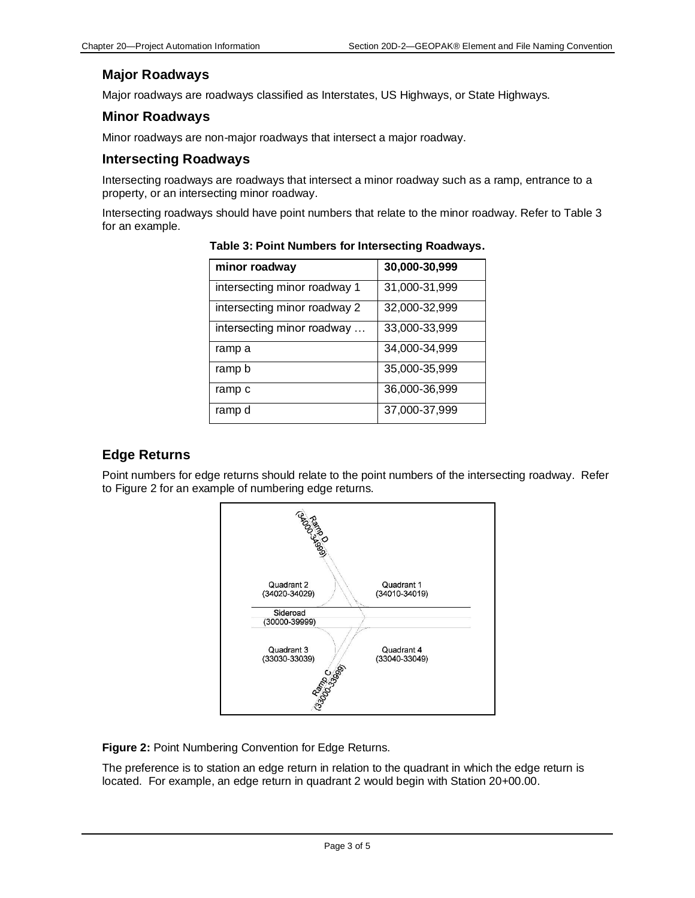## **Major Roadways**

Major roadways are roadways classified as Interstates, US Highways, or State Highways.

## **Minor Roadways**

Minor roadways are non-major roadways that intersect a major roadway.

#### **Intersecting Roadways**

Intersecting roadways are roadways that intersect a minor roadway such as a ramp, entrance to a property, or an intersecting minor roadway.

Intersecting roadways should have point numbers that relate to the minor roadway. Refer to Table 3 for an example.

| minor roadway                | 30,000-30,999 |
|------------------------------|---------------|
| intersecting minor roadway 1 | 31,000-31,999 |
| intersecting minor roadway 2 | 32,000-32,999 |
| intersecting minor roadway   | 33,000-33,999 |
| ramp a                       | 34,000-34,999 |
| ramp b                       | 35,000-35,999 |
| ramp c                       | 36,000-36,999 |
| ramp d                       | 37,000-37,999 |

**Table 3: Point Numbers for Intersecting Roadways.**

## **Edge Returns**

Point numbers for edge returns should relate to the point numbers of the intersecting roadway. Refer to Figure 2 for an example of numbering edge returns.



**Figure 2:** Point Numbering Convention for Edge Returns.

The preference is to station an edge return in relation to the quadrant in which the edge return is located. For example, an edge return in quadrant 2 would begin with Station 20+00.00.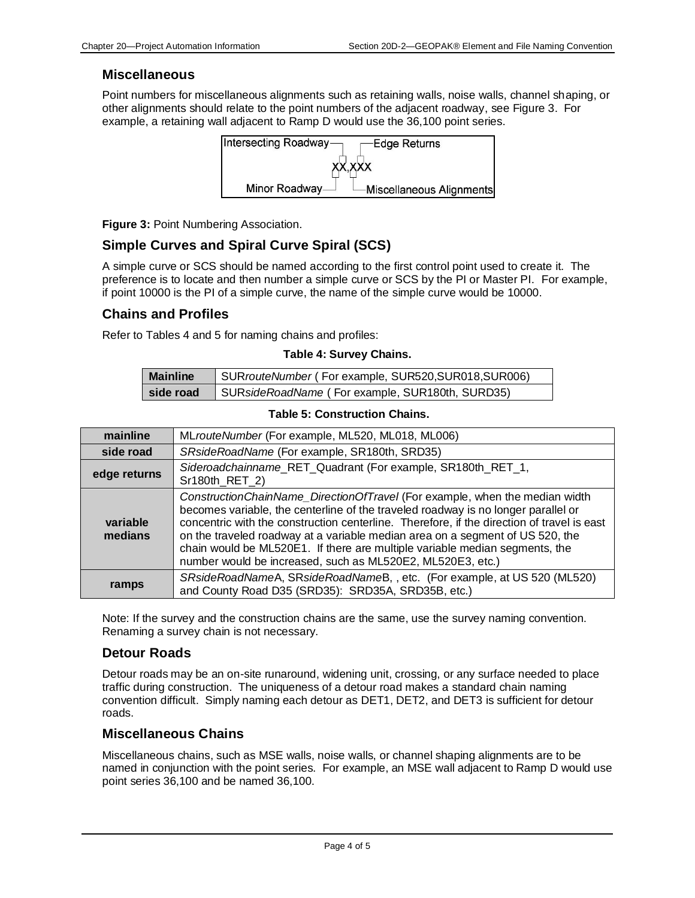#### **Miscellaneous**

Point numbers for miscellaneous alignments such as retaining walls, noise walls, channel shaping, or other alignments should relate to the point numbers of the adjacent roadway, see Figure 3. For example, a retaining wall adjacent to Ramp D would use the 36,100 point series.



**Figure 3:** Point Numbering Association.

## **Simple Curves and Spiral Curve Spiral (SCS)**

A simple curve or SCS should be named according to the first control point used to create it. The preference is to locate and then number a simple curve or SCS by the PI or Master PI. For example, if point 10000 is the PI of a simple curve, the name of the simple curve would be 10000.

#### **Chains and Profiles**

Refer to Tables 4 and 5 for naming chains and profiles:

#### **Table 4: Survey Chains.**

| <b>Mainline</b> | SURrouteNumber (For example, SUR520, SUR018, SUR006) |
|-----------------|------------------------------------------------------|
| side road       | SURsideRoadName (For example, SUR180th, SURD35)      |

#### **Table 5: Construction Chains.**

| mainline            | MLrouteNumber (For example, ML520, ML018, ML006)                                                                                                                                                                                                                                                                                                                                                                                                                                             |
|---------------------|----------------------------------------------------------------------------------------------------------------------------------------------------------------------------------------------------------------------------------------------------------------------------------------------------------------------------------------------------------------------------------------------------------------------------------------------------------------------------------------------|
| side road           | SRsideRoadName (For example, SR180th, SRD35)                                                                                                                                                                                                                                                                                                                                                                                                                                                 |
| edge returns        | Sideroadchainname_RET_Quadrant (For example, SR180th_RET_1,<br>Sr180th_RET_2)                                                                                                                                                                                                                                                                                                                                                                                                                |
| variable<br>medians | ConstructionChainName_DirectionOfTravel (For example, when the median width<br>becomes variable, the centerline of the traveled roadway is no longer parallel or<br>concentric with the construction centerline. Therefore, if the direction of travel is east<br>on the traveled roadway at a variable median area on a segment of US 520, the<br>chain would be ML520E1. If there are multiple variable median segments, the<br>number would be increased, such as ML520E2, ML520E3, etc.) |
| ramps               | SRsideRoadNameA, SRsideRoadNameB, , etc. (For example, at US 520 (ML520)<br>and County Road D35 (SRD35): SRD35A, SRD35B, etc.)                                                                                                                                                                                                                                                                                                                                                               |

Note: If the survey and the construction chains are the same, use the survey naming convention. Renaming a survey chain is not necessary.

#### **Detour Roads**

Detour roads may be an on-site runaround, widening unit, crossing, or any surface needed to place traffic during construction. The uniqueness of a detour road makes a standard chain naming convention difficult. Simply naming each detour as DET1, DET2, and DET3 is sufficient for detour roads.

### **Miscellaneous Chains**

Miscellaneous chains, such as MSE walls, noise walls, or channel shaping alignments are to be named in conjunction with the point series. For example, an MSE wall adjacent to Ramp D would use point series 36,100 and be named 36,100.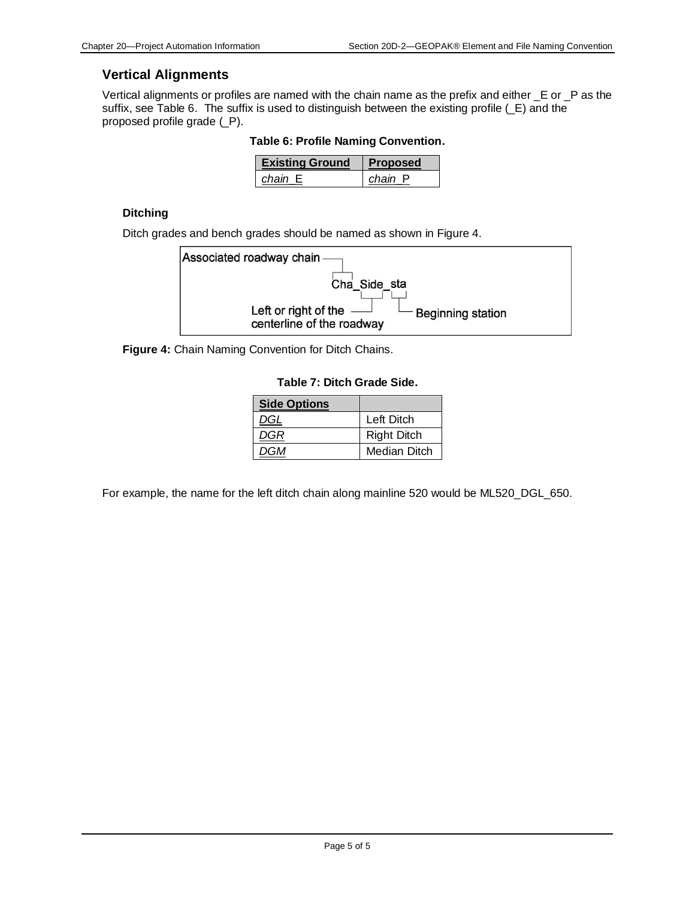### **Vertical Alignments**

Vertical alignments or profiles are named with the chain name as the prefix and either \_E or \_P as the suffix, see Table 6. The suffix is used to distinguish between the existing profile (\_E) and the proposed profile grade (\_P).

**Table 6: Profile Naming Convention.**

| <b>Existing Ground</b> | <b>Proposed</b> |
|------------------------|-----------------|
| chain E                | chain P         |

#### **Ditching**

Ditch grades and bench grades should be named as shown in Figure 4.



**Figure 4:** Chain Naming Convention for Ditch Chains.

|  | Table 7: Ditch Grade Side. |  |
|--|----------------------------|--|
|  |                            |  |

| <b>Side Options</b> |                    |
|---------------------|--------------------|
| DGL                 | Left Ditch         |
| DGR                 | <b>Right Ditch</b> |
| DGM                 | Median Ditch       |

For example, the name for the left ditch chain along mainline 520 would be ML520\_DGL\_650.